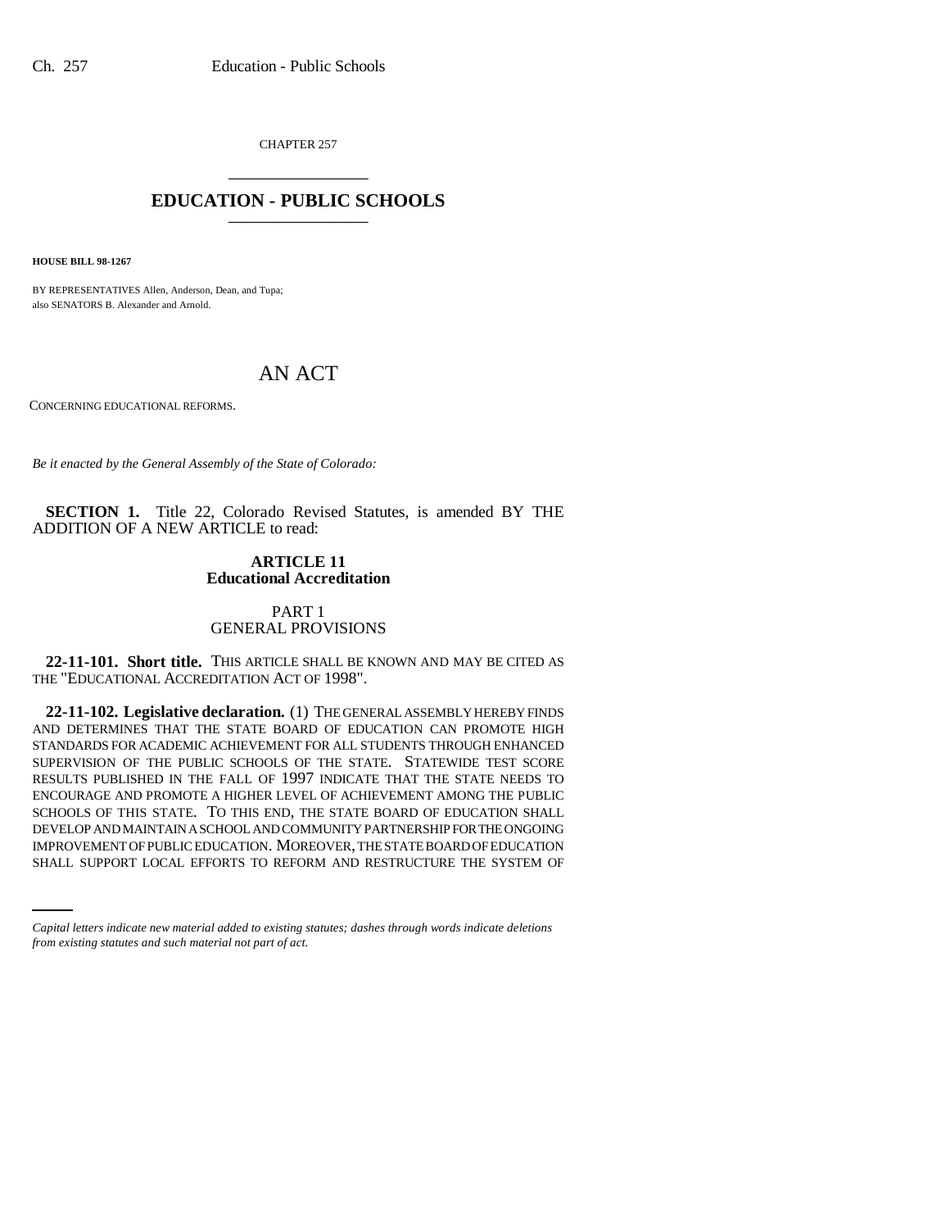CHAPTER 257 \_\_\_\_\_\_\_\_\_\_\_\_\_\_\_

## **EDUCATION - PUBLIC SCHOOLS** \_\_\_\_\_\_\_\_\_\_\_\_\_\_\_

**HOUSE BILL 98-1267**

BY REPRESENTATIVES Allen, Anderson, Dean, and Tupa; also SENATORS B. Alexander and Arnold.

# AN ACT

CONCERNING EDUCATIONAL REFORMS.

*Be it enacted by the General Assembly of the State of Colorado:*

**SECTION 1.** Title 22, Colorado Revised Statutes, is amended BY THE ADDITION OF A NEW ARTICLE to read:

#### **ARTICLE 11 Educational Accreditation**

### PART 1 GENERAL PROVISIONS

**22-11-101. Short title.** THIS ARTICLE SHALL BE KNOWN AND MAY BE CITED AS THE "EDUCATIONAL ACCREDITATION ACT OF 1998".

DEVELOP AND MAINTAIN A SCHOOL AND COMMUNITY PARTNERSHIP FOR THE ONGOING **22-11-102. Legislative declaration.** (1) THE GENERAL ASSEMBLY HEREBY FINDS AND DETERMINES THAT THE STATE BOARD OF EDUCATION CAN PROMOTE HIGH STANDARDS FOR ACADEMIC ACHIEVEMENT FOR ALL STUDENTS THROUGH ENHANCED SUPERVISION OF THE PUBLIC SCHOOLS OF THE STATE. STATEWIDE TEST SCORE RESULTS PUBLISHED IN THE FALL OF 1997 INDICATE THAT THE STATE NEEDS TO ENCOURAGE AND PROMOTE A HIGHER LEVEL OF ACHIEVEMENT AMONG THE PUBLIC SCHOOLS OF THIS STATE. TO THIS END, THE STATE BOARD OF EDUCATION SHALL IMPROVEMENT OF PUBLIC EDUCATION. MOREOVER, THE STATE BOARD OF EDUCATION SHALL SUPPORT LOCAL EFFORTS TO REFORM AND RESTRUCTURE THE SYSTEM OF

*Capital letters indicate new material added to existing statutes; dashes through words indicate deletions from existing statutes and such material not part of act.*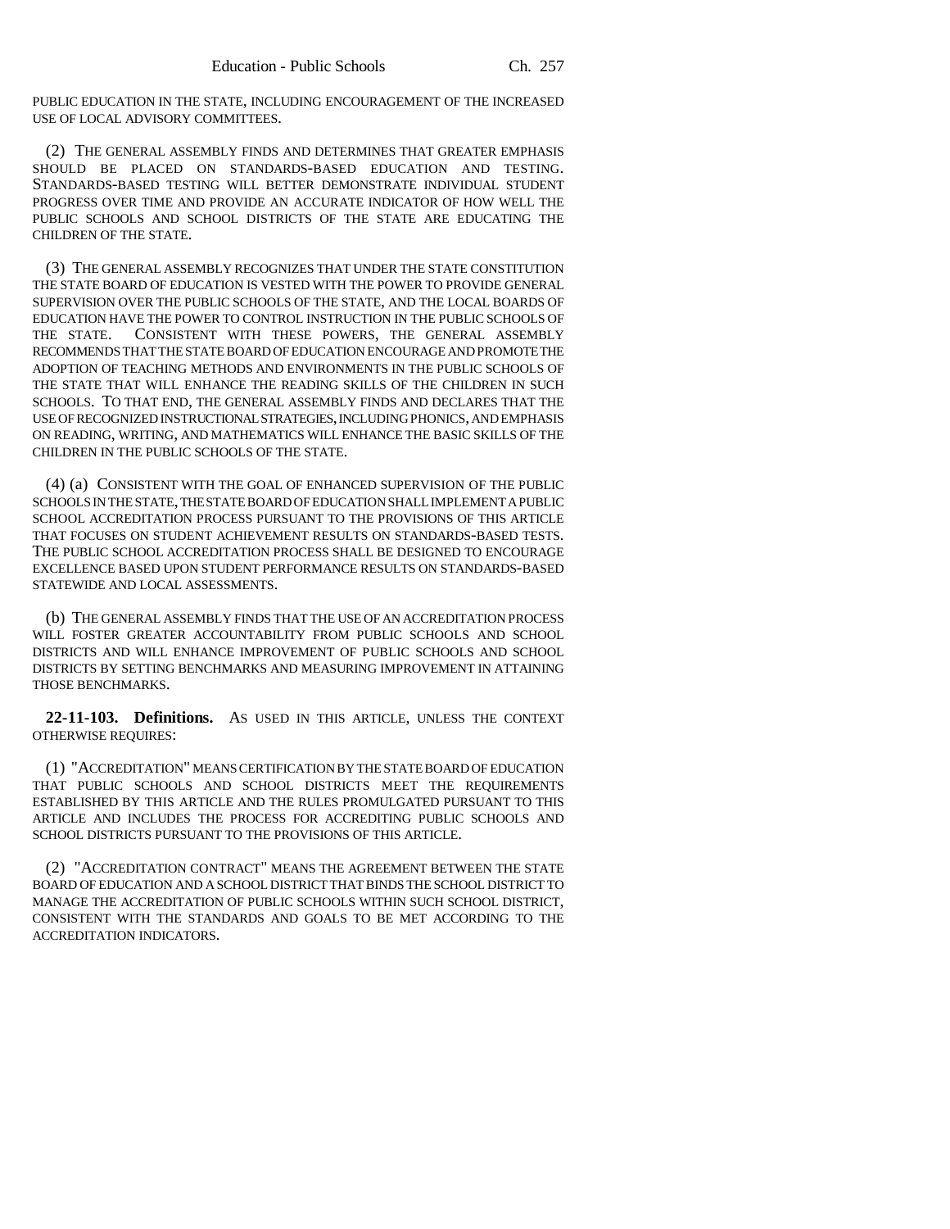PUBLIC EDUCATION IN THE STATE, INCLUDING ENCOURAGEMENT OF THE INCREASED USE OF LOCAL ADVISORY COMMITTEES.

(2) THE GENERAL ASSEMBLY FINDS AND DETERMINES THAT GREATER EMPHASIS SHOULD BE PLACED ON STANDARDS-BASED EDUCATION AND TESTING. STANDARDS-BASED TESTING WILL BETTER DEMONSTRATE INDIVIDUAL STUDENT PROGRESS OVER TIME AND PROVIDE AN ACCURATE INDICATOR OF HOW WELL THE PUBLIC SCHOOLS AND SCHOOL DISTRICTS OF THE STATE ARE EDUCATING THE CHILDREN OF THE STATE.

(3) THE GENERAL ASSEMBLY RECOGNIZES THAT UNDER THE STATE CONSTITUTION THE STATE BOARD OF EDUCATION IS VESTED WITH THE POWER TO PROVIDE GENERAL SUPERVISION OVER THE PUBLIC SCHOOLS OF THE STATE, AND THE LOCAL BOARDS OF EDUCATION HAVE THE POWER TO CONTROL INSTRUCTION IN THE PUBLIC SCHOOLS OF THE STATE. CONSISTENT WITH THESE POWERS, THE GENERAL ASSEMBLY RECOMMENDS THAT THE STATE BOARD OF EDUCATION ENCOURAGE AND PROMOTE THE ADOPTION OF TEACHING METHODS AND ENVIRONMENTS IN THE PUBLIC SCHOOLS OF THE STATE THAT WILL ENHANCE THE READING SKILLS OF THE CHILDREN IN SUCH SCHOOLS. TO THAT END, THE GENERAL ASSEMBLY FINDS AND DECLARES THAT THE USE OF RECOGNIZED INSTRUCTIONAL STRATEGIES, INCLUDING PHONICS, AND EMPHASIS ON READING, WRITING, AND MATHEMATICS WILL ENHANCE THE BASIC SKILLS OF THE CHILDREN IN THE PUBLIC SCHOOLS OF THE STATE.

(4) (a) CONSISTENT WITH THE GOAL OF ENHANCED SUPERVISION OF THE PUBLIC SCHOOLS IN THE STATE, THE STATE BOARD OF EDUCATION SHALL IMPLEMENT A PUBLIC SCHOOL ACCREDITATION PROCESS PURSUANT TO THE PROVISIONS OF THIS ARTICLE THAT FOCUSES ON STUDENT ACHIEVEMENT RESULTS ON STANDARDS-BASED TESTS. THE PUBLIC SCHOOL ACCREDITATION PROCESS SHALL BE DESIGNED TO ENCOURAGE EXCELLENCE BASED UPON STUDENT PERFORMANCE RESULTS ON STANDARDS-BASED STATEWIDE AND LOCAL ASSESSMENTS.

(b) THE GENERAL ASSEMBLY FINDS THAT THE USE OF AN ACCREDITATION PROCESS WILL FOSTER GREATER ACCOUNTABILITY FROM PUBLIC SCHOOLS AND SCHOOL DISTRICTS AND WILL ENHANCE IMPROVEMENT OF PUBLIC SCHOOLS AND SCHOOL DISTRICTS BY SETTING BENCHMARKS AND MEASURING IMPROVEMENT IN ATTAINING THOSE BENCHMARKS.

**22-11-103. Definitions.** AS USED IN THIS ARTICLE, UNLESS THE CONTEXT OTHERWISE REQUIRES:

(1) "ACCREDITATION" MEANS CERTIFICATION BY THE STATE BOARD OF EDUCATION THAT PUBLIC SCHOOLS AND SCHOOL DISTRICTS MEET THE REQUIREMENTS ESTABLISHED BY THIS ARTICLE AND THE RULES PROMULGATED PURSUANT TO THIS ARTICLE AND INCLUDES THE PROCESS FOR ACCREDITING PUBLIC SCHOOLS AND SCHOOL DISTRICTS PURSUANT TO THE PROVISIONS OF THIS ARTICLE.

(2) "ACCREDITATION CONTRACT" MEANS THE AGREEMENT BETWEEN THE STATE BOARD OF EDUCATION AND A SCHOOL DISTRICT THAT BINDS THE SCHOOL DISTRICT TO MANAGE THE ACCREDITATION OF PUBLIC SCHOOLS WITHIN SUCH SCHOOL DISTRICT, CONSISTENT WITH THE STANDARDS AND GOALS TO BE MET ACCORDING TO THE ACCREDITATION INDICATORS.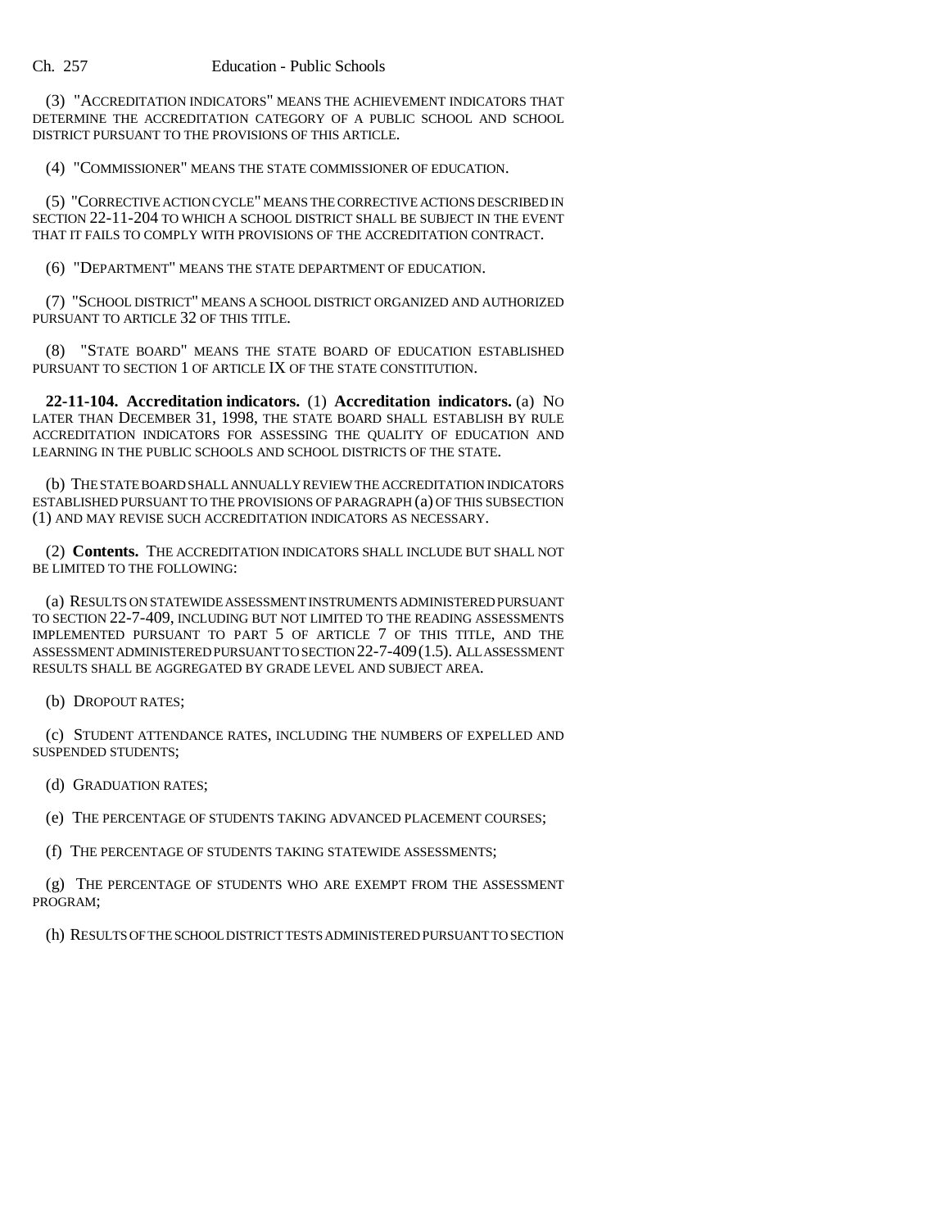(3) "ACCREDITATION INDICATORS" MEANS THE ACHIEVEMENT INDICATORS THAT DETERMINE THE ACCREDITATION CATEGORY OF A PUBLIC SCHOOL AND SCHOOL DISTRICT PURSUANT TO THE PROVISIONS OF THIS ARTICLE.

(4) "COMMISSIONER" MEANS THE STATE COMMISSIONER OF EDUCATION.

(5) "CORRECTIVE ACTION CYCLE" MEANS THE CORRECTIVE ACTIONS DESCRIBED IN SECTION 22-11-204 TO WHICH A SCHOOL DISTRICT SHALL BE SUBJECT IN THE EVENT THAT IT FAILS TO COMPLY WITH PROVISIONS OF THE ACCREDITATION CONTRACT.

(6) "DEPARTMENT" MEANS THE STATE DEPARTMENT OF EDUCATION.

(7) "SCHOOL DISTRICT" MEANS A SCHOOL DISTRICT ORGANIZED AND AUTHORIZED PURSUANT TO ARTICLE 32 OF THIS TITLE.

(8) "STATE BOARD" MEANS THE STATE BOARD OF EDUCATION ESTABLISHED PURSUANT TO SECTION 1 OF ARTICLE IX OF THE STATE CONSTITUTION.

**22-11-104. Accreditation indicators.** (1) **Accreditation indicators.** (a) NO LATER THAN DECEMBER 31, 1998, THE STATE BOARD SHALL ESTABLISH BY RULE ACCREDITATION INDICATORS FOR ASSESSING THE QUALITY OF EDUCATION AND LEARNING IN THE PUBLIC SCHOOLS AND SCHOOL DISTRICTS OF THE STATE.

(b) THE STATE BOARD SHALL ANNUALLY REVIEW THE ACCREDITATION INDICATORS ESTABLISHED PURSUANT TO THE PROVISIONS OF PARAGRAPH (a) OF THIS SUBSECTION (1) AND MAY REVISE SUCH ACCREDITATION INDICATORS AS NECESSARY.

(2) **Contents.** THE ACCREDITATION INDICATORS SHALL INCLUDE BUT SHALL NOT BE LIMITED TO THE FOLLOWING:

(a) RESULTS ON STATEWIDE ASSESSMENT INSTRUMENTS ADMINISTERED PURSUANT TO SECTION 22-7-409, INCLUDING BUT NOT LIMITED TO THE READING ASSESSMENTS IMPLEMENTED PURSUANT TO PART 5 OF ARTICLE 7 OF THIS TITLE, AND THE ASSESSMENT ADMINISTERED PURSUANT TO SECTION 22-7-409(1.5). ALL ASSESSMENT RESULTS SHALL BE AGGREGATED BY GRADE LEVEL AND SUBJECT AREA.

(b) DROPOUT RATES;

(c) STUDENT ATTENDANCE RATES, INCLUDING THE NUMBERS OF EXPELLED AND SUSPENDED STUDENTS;

(d) GRADUATION RATES;

(e) THE PERCENTAGE OF STUDENTS TAKING ADVANCED PLACEMENT COURSES;

(f) THE PERCENTAGE OF STUDENTS TAKING STATEWIDE ASSESSMENTS;

(g) THE PERCENTAGE OF STUDENTS WHO ARE EXEMPT FROM THE ASSESSMENT PROGRAM;

(h) RESULTS OF THE SCHOOL DISTRICT TESTS ADMINISTERED PURSUANT TO SECTION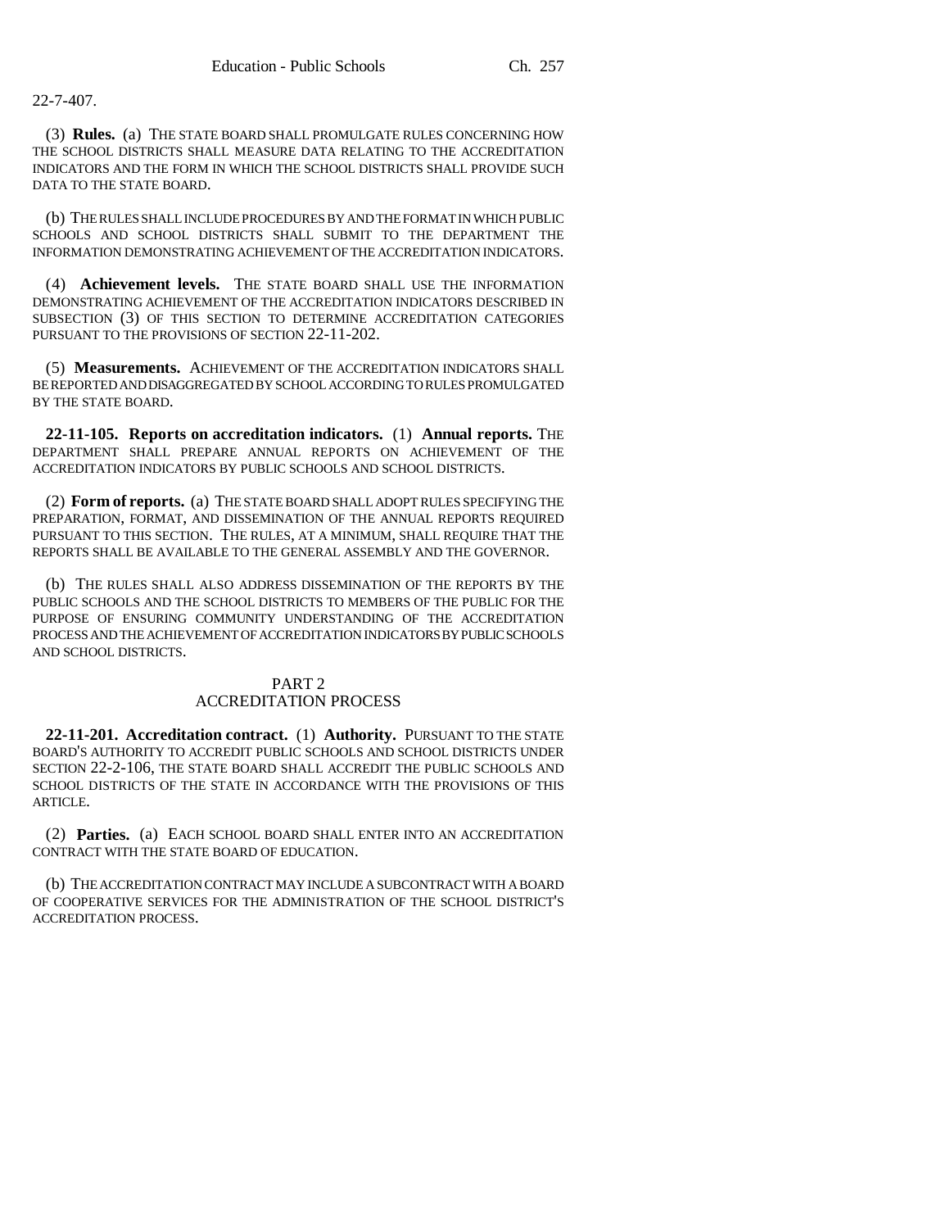22-7-407.

(3) **Rules.** (a) THE STATE BOARD SHALL PROMULGATE RULES CONCERNING HOW THE SCHOOL DISTRICTS SHALL MEASURE DATA RELATING TO THE ACCREDITATION INDICATORS AND THE FORM IN WHICH THE SCHOOL DISTRICTS SHALL PROVIDE SUCH DATA TO THE STATE BOARD.

(b) THE RULES SHALL INCLUDE PROCEDURES BY AND THE FORMAT IN WHICH PUBLIC SCHOOLS AND SCHOOL DISTRICTS SHALL SUBMIT TO THE DEPARTMENT THE INFORMATION DEMONSTRATING ACHIEVEMENT OF THE ACCREDITATION INDICATORS.

(4) **Achievement levels.** THE STATE BOARD SHALL USE THE INFORMATION DEMONSTRATING ACHIEVEMENT OF THE ACCREDITATION INDICATORS DESCRIBED IN SUBSECTION (3) OF THIS SECTION TO DETERMINE ACCREDITATION CATEGORIES PURSUANT TO THE PROVISIONS OF SECTION 22-11-202.

(5) **Measurements.** ACHIEVEMENT OF THE ACCREDITATION INDICATORS SHALL BE REPORTED AND DISAGGREGATED BY SCHOOL ACCORDING TO RULES PROMULGATED BY THE STATE BOARD.

**22-11-105. Reports on accreditation indicators.** (1) **Annual reports.** THE DEPARTMENT SHALL PREPARE ANNUAL REPORTS ON ACHIEVEMENT OF THE ACCREDITATION INDICATORS BY PUBLIC SCHOOLS AND SCHOOL DISTRICTS.

(2) **Form of reports.** (a) THE STATE BOARD SHALL ADOPT RULES SPECIFYING THE PREPARATION, FORMAT, AND DISSEMINATION OF THE ANNUAL REPORTS REQUIRED PURSUANT TO THIS SECTION. THE RULES, AT A MINIMUM, SHALL REQUIRE THAT THE REPORTS SHALL BE AVAILABLE TO THE GENERAL ASSEMBLY AND THE GOVERNOR.

(b) THE RULES SHALL ALSO ADDRESS DISSEMINATION OF THE REPORTS BY THE PUBLIC SCHOOLS AND THE SCHOOL DISTRICTS TO MEMBERS OF THE PUBLIC FOR THE PURPOSE OF ENSURING COMMUNITY UNDERSTANDING OF THE ACCREDITATION PROCESS AND THE ACHIEVEMENT OF ACCREDITATION INDICATORS BY PUBLIC SCHOOLS AND SCHOOL DISTRICTS.

#### PART 2 ACCREDITATION PROCESS

**22-11-201. Accreditation contract.** (1) **Authority.** PURSUANT TO THE STATE BOARD'S AUTHORITY TO ACCREDIT PUBLIC SCHOOLS AND SCHOOL DISTRICTS UNDER SECTION 22-2-106, THE STATE BOARD SHALL ACCREDIT THE PUBLIC SCHOOLS AND SCHOOL DISTRICTS OF THE STATE IN ACCORDANCE WITH THE PROVISIONS OF THIS ARTICLE.

(2) **Parties.** (a) EACH SCHOOL BOARD SHALL ENTER INTO AN ACCREDITATION CONTRACT WITH THE STATE BOARD OF EDUCATION.

(b) THE ACCREDITATION CONTRACT MAY INCLUDE A SUBCONTRACT WITH A BOARD OF COOPERATIVE SERVICES FOR THE ADMINISTRATION OF THE SCHOOL DISTRICT'S ACCREDITATION PROCESS.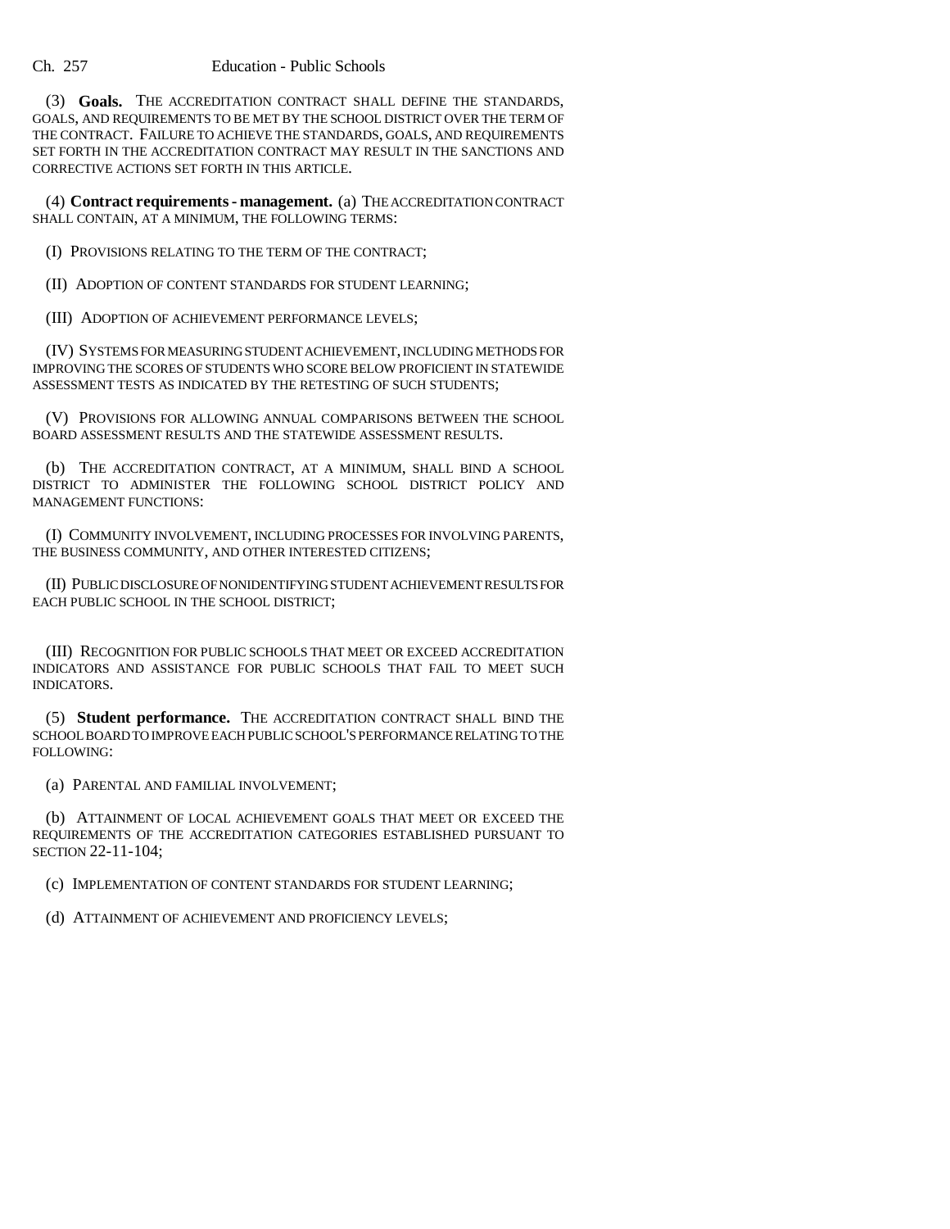(3) **Goals.** THE ACCREDITATION CONTRACT SHALL DEFINE THE STANDARDS, GOALS, AND REQUIREMENTS TO BE MET BY THE SCHOOL DISTRICT OVER THE TERM OF THE CONTRACT. FAILURE TO ACHIEVE THE STANDARDS, GOALS, AND REQUIREMENTS SET FORTH IN THE ACCREDITATION CONTRACT MAY RESULT IN THE SANCTIONS AND CORRECTIVE ACTIONS SET FORTH IN THIS ARTICLE.

(4) **Contract requirements - management.** (a) THE ACCREDITATION CONTRACT SHALL CONTAIN, AT A MINIMUM, THE FOLLOWING TERMS:

(I) PROVISIONS RELATING TO THE TERM OF THE CONTRACT;

(II) ADOPTION OF CONTENT STANDARDS FOR STUDENT LEARNING;

(III) ADOPTION OF ACHIEVEMENT PERFORMANCE LEVELS;

(IV) SYSTEMS FOR MEASURING STUDENT ACHIEVEMENT, INCLUDING METHODS FOR IMPROVING THE SCORES OF STUDENTS WHO SCORE BELOW PROFICIENT IN STATEWIDE ASSESSMENT TESTS AS INDICATED BY THE RETESTING OF SUCH STUDENTS;

(V) PROVISIONS FOR ALLOWING ANNUAL COMPARISONS BETWEEN THE SCHOOL BOARD ASSESSMENT RESULTS AND THE STATEWIDE ASSESSMENT RESULTS.

(b) THE ACCREDITATION CONTRACT, AT A MINIMUM, SHALL BIND A SCHOOL DISTRICT TO ADMINISTER THE FOLLOWING SCHOOL DISTRICT POLICY AND MANAGEMENT FUNCTIONS:

(I) COMMUNITY INVOLVEMENT, INCLUDING PROCESSES FOR INVOLVING PARENTS, THE BUSINESS COMMUNITY, AND OTHER INTERESTED CITIZENS;

(II) PUBLIC DISCLOSURE OF NONIDENTIFYING STUDENT ACHIEVEMENT RESULTS FOR EACH PUBLIC SCHOOL IN THE SCHOOL DISTRICT;

(III) RECOGNITION FOR PUBLIC SCHOOLS THAT MEET OR EXCEED ACCREDITATION INDICATORS AND ASSISTANCE FOR PUBLIC SCHOOLS THAT FAIL TO MEET SUCH INDICATORS.

(5) **Student performance.** THE ACCREDITATION CONTRACT SHALL BIND THE SCHOOL BOARD TO IMPROVE EACH PUBLIC SCHOOL'S PERFORMANCE RELATING TO THE FOLLOWING:

(a) PARENTAL AND FAMILIAL INVOLVEMENT;

(b) ATTAINMENT OF LOCAL ACHIEVEMENT GOALS THAT MEET OR EXCEED THE REQUIREMENTS OF THE ACCREDITATION CATEGORIES ESTABLISHED PURSUANT TO SECTION 22-11-104;

(c) IMPLEMENTATION OF CONTENT STANDARDS FOR STUDENT LEARNING;

(d) ATTAINMENT OF ACHIEVEMENT AND PROFICIENCY LEVELS;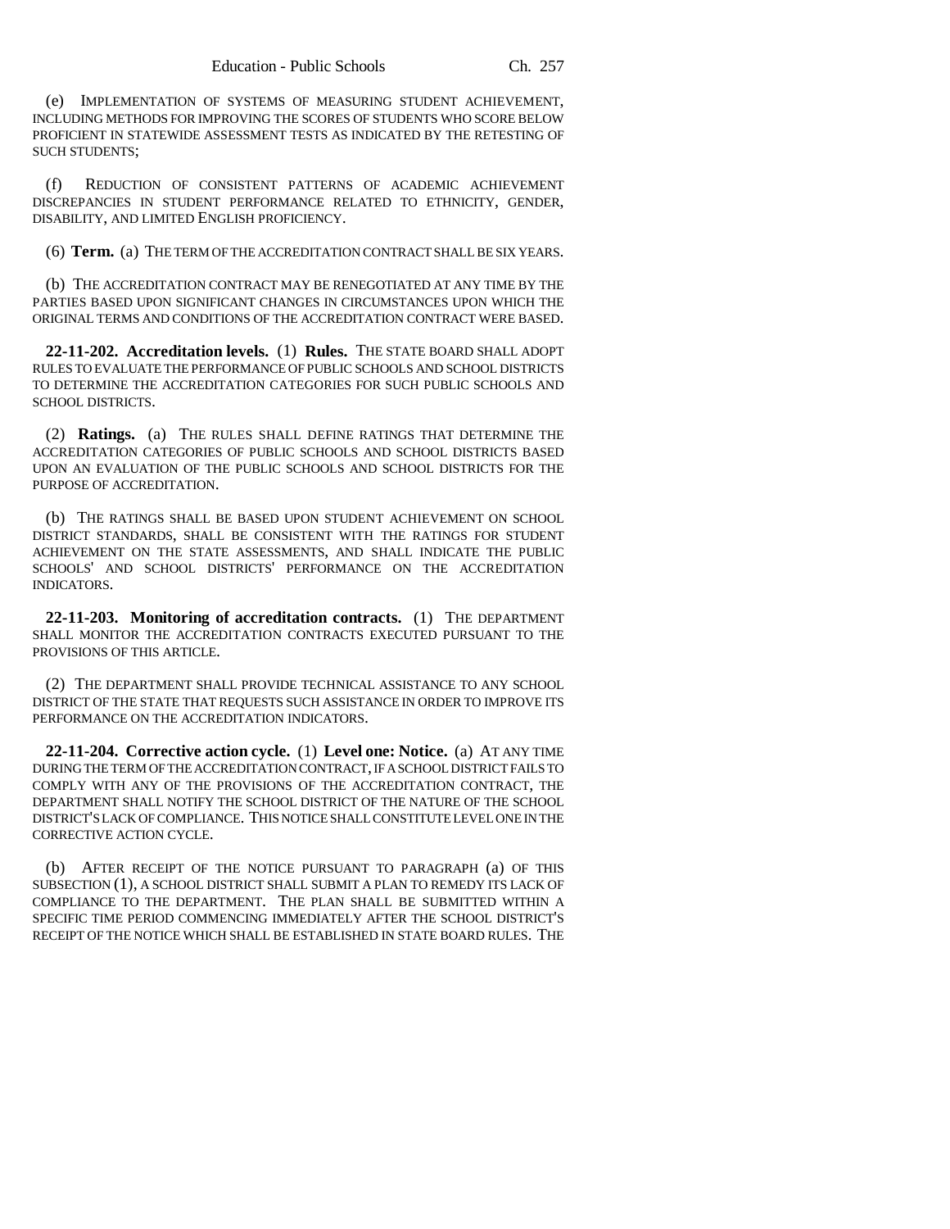(e) IMPLEMENTATION OF SYSTEMS OF MEASURING STUDENT ACHIEVEMENT, INCLUDING METHODS FOR IMPROVING THE SCORES OF STUDENTS WHO SCORE BELOW PROFICIENT IN STATEWIDE ASSESSMENT TESTS AS INDICATED BY THE RETESTING OF SUCH STUDENTS;

(f) REDUCTION OF CONSISTENT PATTERNS OF ACADEMIC ACHIEVEMENT DISCREPANCIES IN STUDENT PERFORMANCE RELATED TO ETHNICITY, GENDER, DISABILITY, AND LIMITED ENGLISH PROFICIENCY.

(6) **Term.** (a) THE TERM OF THE ACCREDITATION CONTRACT SHALL BE SIX YEARS.

(b) THE ACCREDITATION CONTRACT MAY BE RENEGOTIATED AT ANY TIME BY THE PARTIES BASED UPON SIGNIFICANT CHANGES IN CIRCUMSTANCES UPON WHICH THE ORIGINAL TERMS AND CONDITIONS OF THE ACCREDITATION CONTRACT WERE BASED.

**22-11-202. Accreditation levels.** (1) **Rules.** THE STATE BOARD SHALL ADOPT RULES TO EVALUATE THE PERFORMANCE OF PUBLIC SCHOOLS AND SCHOOL DISTRICTS TO DETERMINE THE ACCREDITATION CATEGORIES FOR SUCH PUBLIC SCHOOLS AND SCHOOL DISTRICTS.

(2) **Ratings.** (a) THE RULES SHALL DEFINE RATINGS THAT DETERMINE THE ACCREDITATION CATEGORIES OF PUBLIC SCHOOLS AND SCHOOL DISTRICTS BASED UPON AN EVALUATION OF THE PUBLIC SCHOOLS AND SCHOOL DISTRICTS FOR THE PURPOSE OF ACCREDITATION.

(b) THE RATINGS SHALL BE BASED UPON STUDENT ACHIEVEMENT ON SCHOOL DISTRICT STANDARDS, SHALL BE CONSISTENT WITH THE RATINGS FOR STUDENT ACHIEVEMENT ON THE STATE ASSESSMENTS, AND SHALL INDICATE THE PUBLIC SCHOOLS' AND SCHOOL DISTRICTS' PERFORMANCE ON THE ACCREDITATION INDICATORS.

**22-11-203. Monitoring of accreditation contracts.** (1) THE DEPARTMENT SHALL MONITOR THE ACCREDITATION CONTRACTS EXECUTED PURSUANT TO THE PROVISIONS OF THIS ARTICLE.

(2) THE DEPARTMENT SHALL PROVIDE TECHNICAL ASSISTANCE TO ANY SCHOOL DISTRICT OF THE STATE THAT REQUESTS SUCH ASSISTANCE IN ORDER TO IMPROVE ITS PERFORMANCE ON THE ACCREDITATION INDICATORS.

**22-11-204. Corrective action cycle.** (1) **Level one: Notice.** (a) AT ANY TIME DURING THE TERM OF THE ACCREDITATION CONTRACT, IF A SCHOOL DISTRICT FAILS TO COMPLY WITH ANY OF THE PROVISIONS OF THE ACCREDITATION CONTRACT, THE DEPARTMENT SHALL NOTIFY THE SCHOOL DISTRICT OF THE NATURE OF THE SCHOOL DISTRICT'S LACK OF COMPLIANCE. THIS NOTICE SHALL CONSTITUTE LEVEL ONE IN THE CORRECTIVE ACTION CYCLE.

(b) AFTER RECEIPT OF THE NOTICE PURSUANT TO PARAGRAPH (a) OF THIS SUBSECTION (1), A SCHOOL DISTRICT SHALL SUBMIT A PLAN TO REMEDY ITS LACK OF COMPLIANCE TO THE DEPARTMENT. THE PLAN SHALL BE SUBMITTED WITHIN A SPECIFIC TIME PERIOD COMMENCING IMMEDIATELY AFTER THE SCHOOL DISTRICT'S RECEIPT OF THE NOTICE WHICH SHALL BE ESTABLISHED IN STATE BOARD RULES. THE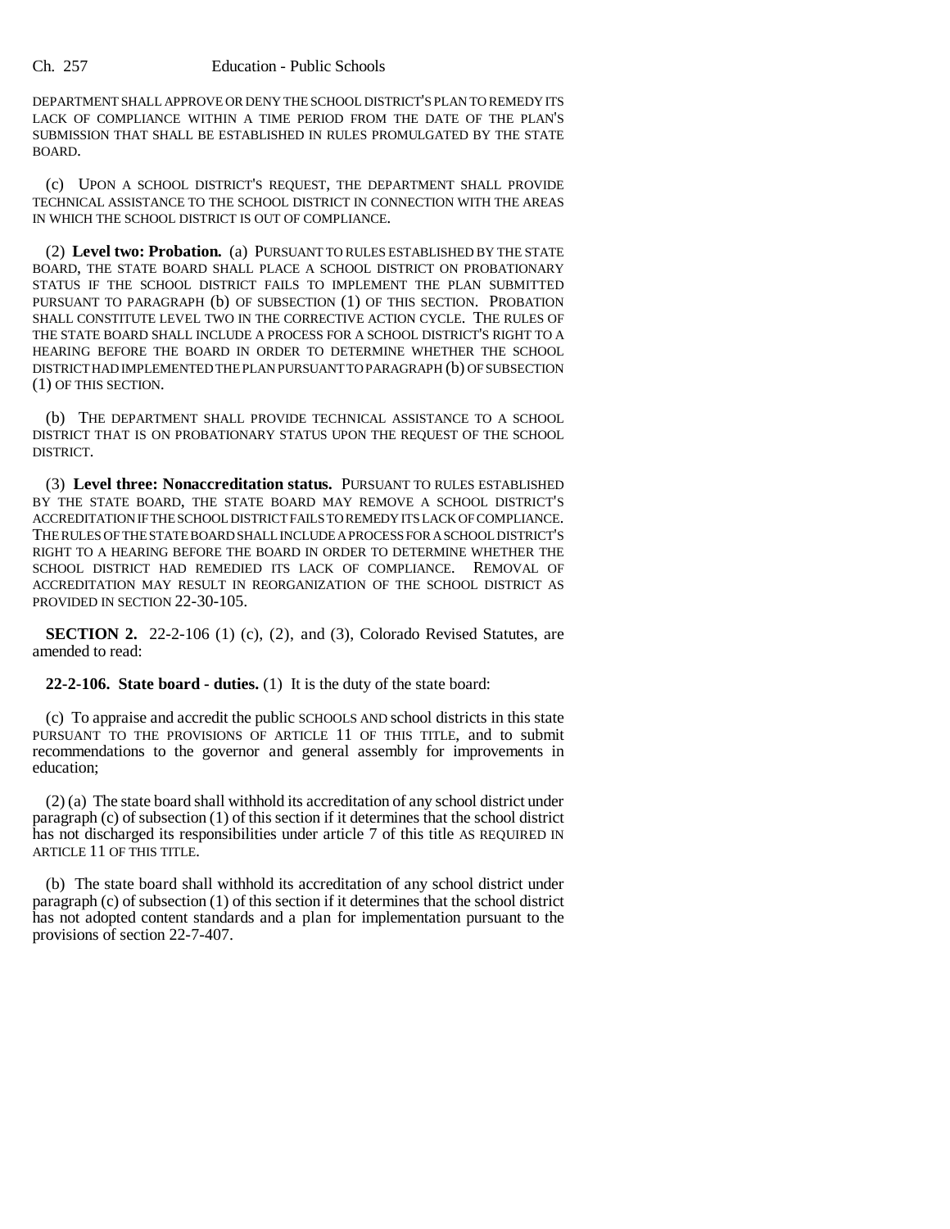DEPARTMENT SHALL APPROVE OR DENY THE SCHOOL DISTRICT'S PLAN TO REMEDY ITS LACK OF COMPLIANCE WITHIN A TIME PERIOD FROM THE DATE OF THE PLAN'S SUBMISSION THAT SHALL BE ESTABLISHED IN RULES PROMULGATED BY THE STATE BOARD.

(c) UPON A SCHOOL DISTRICT'S REQUEST, THE DEPARTMENT SHALL PROVIDE TECHNICAL ASSISTANCE TO THE SCHOOL DISTRICT IN CONNECTION WITH THE AREAS IN WHICH THE SCHOOL DISTRICT IS OUT OF COMPLIANCE.

(2) **Level two: Probation.** (a) PURSUANT TO RULES ESTABLISHED BY THE STATE BOARD, THE STATE BOARD SHALL PLACE A SCHOOL DISTRICT ON PROBATIONARY STATUS IF THE SCHOOL DISTRICT FAILS TO IMPLEMENT THE PLAN SUBMITTED PURSUANT TO PARAGRAPH (b) OF SUBSECTION (1) OF THIS SECTION. PROBATION SHALL CONSTITUTE LEVEL TWO IN THE CORRECTIVE ACTION CYCLE. THE RULES OF THE STATE BOARD SHALL INCLUDE A PROCESS FOR A SCHOOL DISTRICT'S RIGHT TO A HEARING BEFORE THE BOARD IN ORDER TO DETERMINE WHETHER THE SCHOOL DISTRICT HAD IMPLEMENTED THE PLAN PURSUANT TO PARAGRAPH (b) OF SUBSECTION (1) OF THIS SECTION.

(b) THE DEPARTMENT SHALL PROVIDE TECHNICAL ASSISTANCE TO A SCHOOL DISTRICT THAT IS ON PROBATIONARY STATUS UPON THE REQUEST OF THE SCHOOL DISTRICT.

(3) **Level three: Nonaccreditation status.** PURSUANT TO RULES ESTABLISHED BY THE STATE BOARD, THE STATE BOARD MAY REMOVE A SCHOOL DISTRICT'S ACCREDITATION IF THE SCHOOL DISTRICT FAILS TO REMEDY ITS LACK OF COMPLIANCE. THE RULES OF THE STATE BOARD SHALL INCLUDE A PROCESS FOR A SCHOOL DISTRICT'S RIGHT TO A HEARING BEFORE THE BOARD IN ORDER TO DETERMINE WHETHER THE SCHOOL DISTRICT HAD REMEDIED ITS LACK OF COMPLIANCE. REMOVAL OF ACCREDITATION MAY RESULT IN REORGANIZATION OF THE SCHOOL DISTRICT AS PROVIDED IN SECTION 22-30-105.

**SECTION 2.** 22-2-106 (1) (c), (2), and (3), Colorado Revised Statutes, are amended to read:

**22-2-106. State board - duties.** (1) It is the duty of the state board:

(c) To appraise and accredit the public SCHOOLS AND school districts in this state PURSUANT TO THE PROVISIONS OF ARTICLE 11 OF THIS TITLE, and to submit recommendations to the governor and general assembly for improvements in education;

(2) (a) The state board shall withhold its accreditation of any school district under paragraph (c) of subsection (1) of this section if it determines that the school district has not discharged its responsibilities under article 7 of this title AS REQUIRED IN ARTICLE 11 OF THIS TITLE.

(b) The state board shall withhold its accreditation of any school district under paragraph (c) of subsection (1) of this section if it determines that the school district has not adopted content standards and a plan for implementation pursuant to the provisions of section 22-7-407.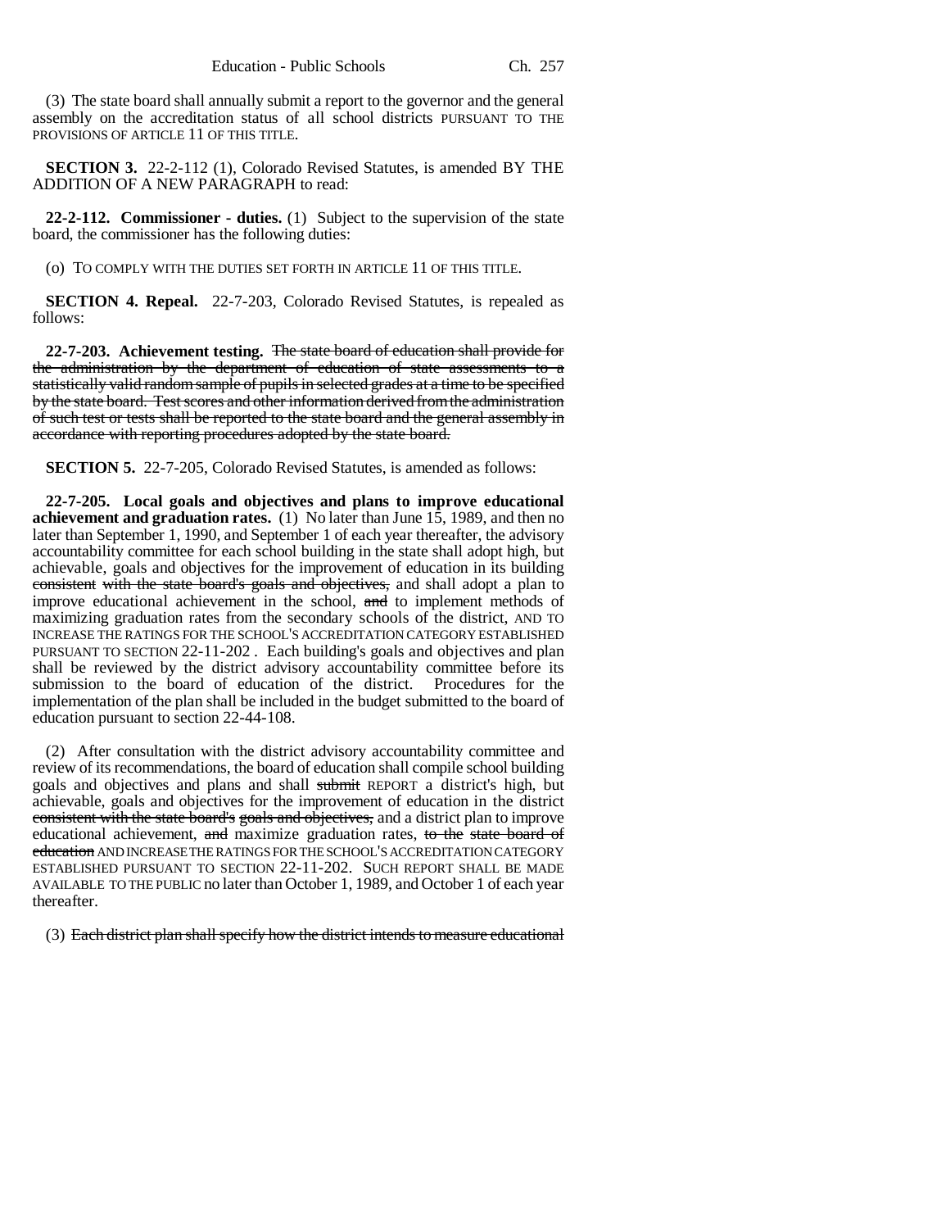(3) The state board shall annually submit a report to the governor and the general assembly on the accreditation status of all school districts PURSUANT TO THE PROVISIONS OF ARTICLE 11 OF THIS TITLE.

**SECTION 3.** 22-2-112 (1), Colorado Revised Statutes, is amended BY THE ADDITION OF A NEW PARAGRAPH to read:

**22-2-112. Commissioner - duties.** (1) Subject to the supervision of the state board, the commissioner has the following duties:

(o) TO COMPLY WITH THE DUTIES SET FORTH IN ARTICLE 11 OF THIS TITLE.

**SECTION 4. Repeal.** 22-7-203, Colorado Revised Statutes, is repealed as follows:

**22-7-203. Achievement testing.** The state board of education shall provide for the administration by the department of education of state assessments to a statistically valid random sample of pupils in selected grades at a time to be specified by the state board. Test scores and other information derived from the administration of such test or tests shall be reported to the state board and the general assembly in accordance with reporting procedures adopted by the state board.

**SECTION 5.** 22-7-205, Colorado Revised Statutes, is amended as follows:

**22-7-205. Local goals and objectives and plans to improve educational achievement and graduation rates.** (1) No later than June 15, 1989, and then no later than September 1, 1990, and September 1 of each year thereafter, the advisory accountability committee for each school building in the state shall adopt high, but achievable, goals and objectives for the improvement of education in its building consistent with the state board's goals and objectives, and shall adopt a plan to improve educational achievement in the school, and to implement methods of maximizing graduation rates from the secondary schools of the district, AND TO INCREASE THE RATINGS FOR THE SCHOOL'S ACCREDITATION CATEGORY ESTABLISHED PURSUANT TO SECTION 22-11-202 . Each building's goals and objectives and plan shall be reviewed by the district advisory accountability committee before its submission to the board of education of the district. Procedures for the implementation of the plan shall be included in the budget submitted to the board of education pursuant to section 22-44-108.

(2) After consultation with the district advisory accountability committee and review of its recommendations, the board of education shall compile school building goals and objectives and plans and shall submit REPORT a district's high, but achievable, goals and objectives for the improvement of education in the district consistent with the state board's goals and objectives, and a district plan to improve educational achievement, and maximize graduation rates, to the state board of education AND INCREASE THE RATINGS FOR THE SCHOOL'S ACCREDITATION CATEGORY ESTABLISHED PURSUANT TO SECTION 22-11-202. SUCH REPORT SHALL BE MADE AVAILABLE TO THE PUBLIC no later than October 1, 1989, and October 1 of each year thereafter.

(3) Each district plan shall specify how the district intends to measure educational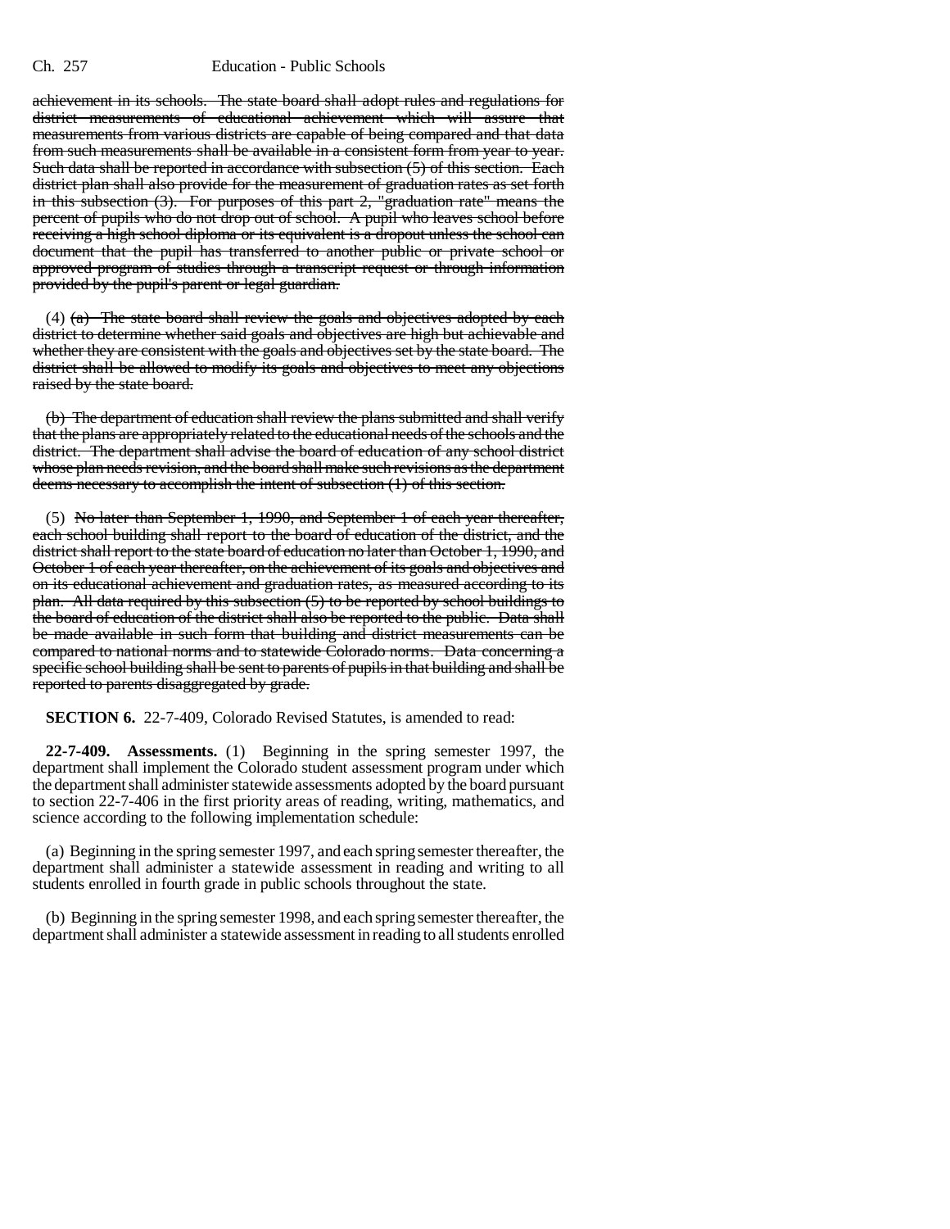achievement in its schools. The state board shall adopt rules and regulations for district measurements of educational achievement which will assure that measurements from various districts are capable of being compared and that data from such measurements shall be available in a consistent form from year to year. Such data shall be reported in accordance with subsection (5) of this section. Each district plan shall also provide for the measurement of graduation rates as set forth in this subsection (3). For purposes of this part 2, "graduation rate" means the percent of pupils who do not drop out of school. A pupil who leaves school before receiving a high school diploma or its equivalent is a dropout unless the school can document that the pupil has transferred to another public or private school or approved program of studies through a transcript request or through information provided by the pupil's parent or legal guardian.

(4)  $(a)$  The state board shall review the goals and objectives adopted by each district to determine whether said goals and objectives are high but achievable and whether they are consistent with the goals and objectives set by the state board. The district shall be allowed to modify its goals and objectives to meet any objections raised by the state board.

(b) The department of education shall review the plans submitted and shall verify that the plans are appropriately related to the educational needs of the schools and the district. The department shall advise the board of education of any school district whose plan needs revision, and the board shall make such revisions as the department deems necessary to accomplish the intent of subsection (1) of this section.

(5) No later than September 1, 1990, and September 1 of each year thereafter, each school building shall report to the board of education of the district, and the district shall report to the state board of education no later than October 1, 1990, and October 1 of each year thereafter, on the achievement of its goals and objectives and on its educational achievement and graduation rates, as measured according to its plan. All data required by this subsection (5) to be reported by school buildings to the board of education of the district shall also be reported to the public. Data shall be made available in such form that building and district measurements can be compared to national norms and to statewide Colorado norms. Data concerning a specific school building shall be sent to parents of pupils in that building and shall be reported to parents disaggregated by grade.

**SECTION 6.** 22-7-409, Colorado Revised Statutes, is amended to read:

**22-7-409. Assessments.** (1) Beginning in the spring semester 1997, the department shall implement the Colorado student assessment program under which the department shall administer statewide assessments adopted by the board pursuant to section 22-7-406 in the first priority areas of reading, writing, mathematics, and science according to the following implementation schedule:

(a) Beginning in the spring semester 1997, and each spring semester thereafter, the department shall administer a statewide assessment in reading and writing to all students enrolled in fourth grade in public schools throughout the state.

(b) Beginning in the spring semester 1998, and each spring semester thereafter, the department shall administer a statewide assessment in reading to all students enrolled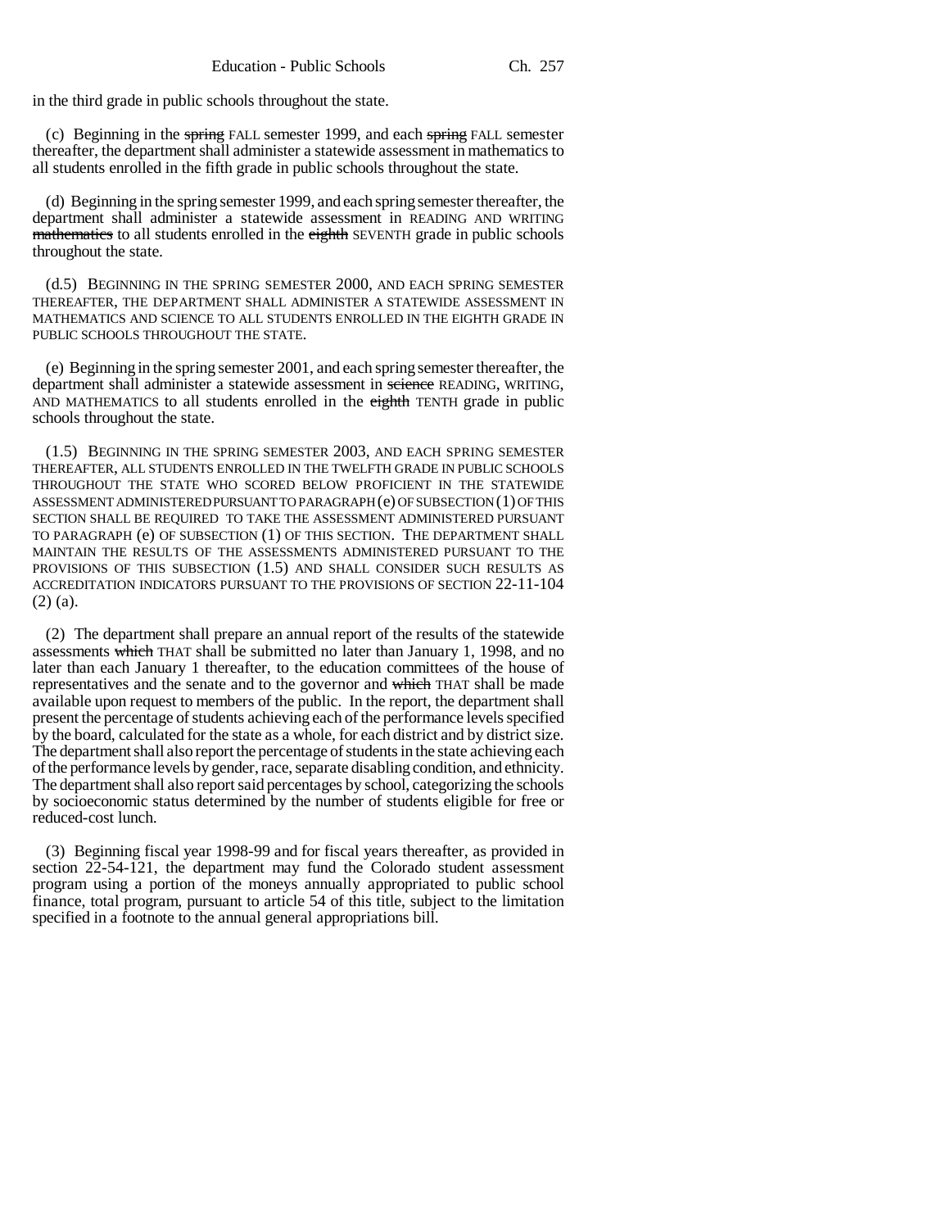in the third grade in public schools throughout the state.

(c) Beginning in the spring FALL semester 1999, and each spring FALL semester thereafter, the department shall administer a statewide assessment in mathematics to all students enrolled in the fifth grade in public schools throughout the state.

(d) Beginning in the spring semester 1999, and each spring semester thereafter, the department shall administer a statewide assessment in READING AND WRITING mathematics to all students enrolled in the eighth SEVENTH grade in public schools throughout the state.

(d.5) BEGINNING IN THE SPRING SEMESTER 2000, AND EACH SPRING SEMESTER THEREAFTER, THE DEPARTMENT SHALL ADMINISTER A STATEWIDE ASSESSMENT IN MATHEMATICS AND SCIENCE TO ALL STUDENTS ENROLLED IN THE EIGHTH GRADE IN PUBLIC SCHOOLS THROUGHOUT THE STATE.

(e) Beginning in the spring semester 2001, and each spring semester thereafter, the department shall administer a statewide assessment in seience READING, WRITING, AND MATHEMATICS to all students enrolled in the eighth TENTH grade in public schools throughout the state.

(1.5) BEGINNING IN THE SPRING SEMESTER 2003, AND EACH SPRING SEMESTER THEREAFTER, ALL STUDENTS ENROLLED IN THE TWELFTH GRADE IN PUBLIC SCHOOLS THROUGHOUT THE STATE WHO SCORED BELOW PROFICIENT IN THE STATEWIDE ASSESSMENT ADMINISTERED PURSUANT TO PARAGRAPH (e) OF SUBSECTION (1) OF THIS SECTION SHALL BE REQUIRED TO TAKE THE ASSESSMENT ADMINISTERED PURSUANT TO PARAGRAPH (e) OF SUBSECTION (1) OF THIS SECTION. THE DEPARTMENT SHALL MAINTAIN THE RESULTS OF THE ASSESSMENTS ADMINISTERED PURSUANT TO THE PROVISIONS OF THIS SUBSECTION (1.5) AND SHALL CONSIDER SUCH RESULTS AS ACCREDITATION INDICATORS PURSUANT TO THE PROVISIONS OF SECTION 22-11-104 (2) (a).

(2) The department shall prepare an annual report of the results of the statewide assessments which THAT shall be submitted no later than January 1, 1998, and no later than each January 1 thereafter, to the education committees of the house of representatives and the senate and to the governor and which THAT shall be made available upon request to members of the public. In the report, the department shall present the percentage of students achieving each of the performance levels specified by the board, calculated for the state as a whole, for each district and by district size. The department shall also report the percentage of students in the state achieving each of the performance levels by gender, race, separate disabling condition, and ethnicity. The department shall also report said percentages by school, categorizing the schools by socioeconomic status determined by the number of students eligible for free or reduced-cost lunch.

(3) Beginning fiscal year 1998-99 and for fiscal years thereafter, as provided in section 22-54-121, the department may fund the Colorado student assessment program using a portion of the moneys annually appropriated to public school finance, total program, pursuant to article 54 of this title, subject to the limitation specified in a footnote to the annual general appropriations bill.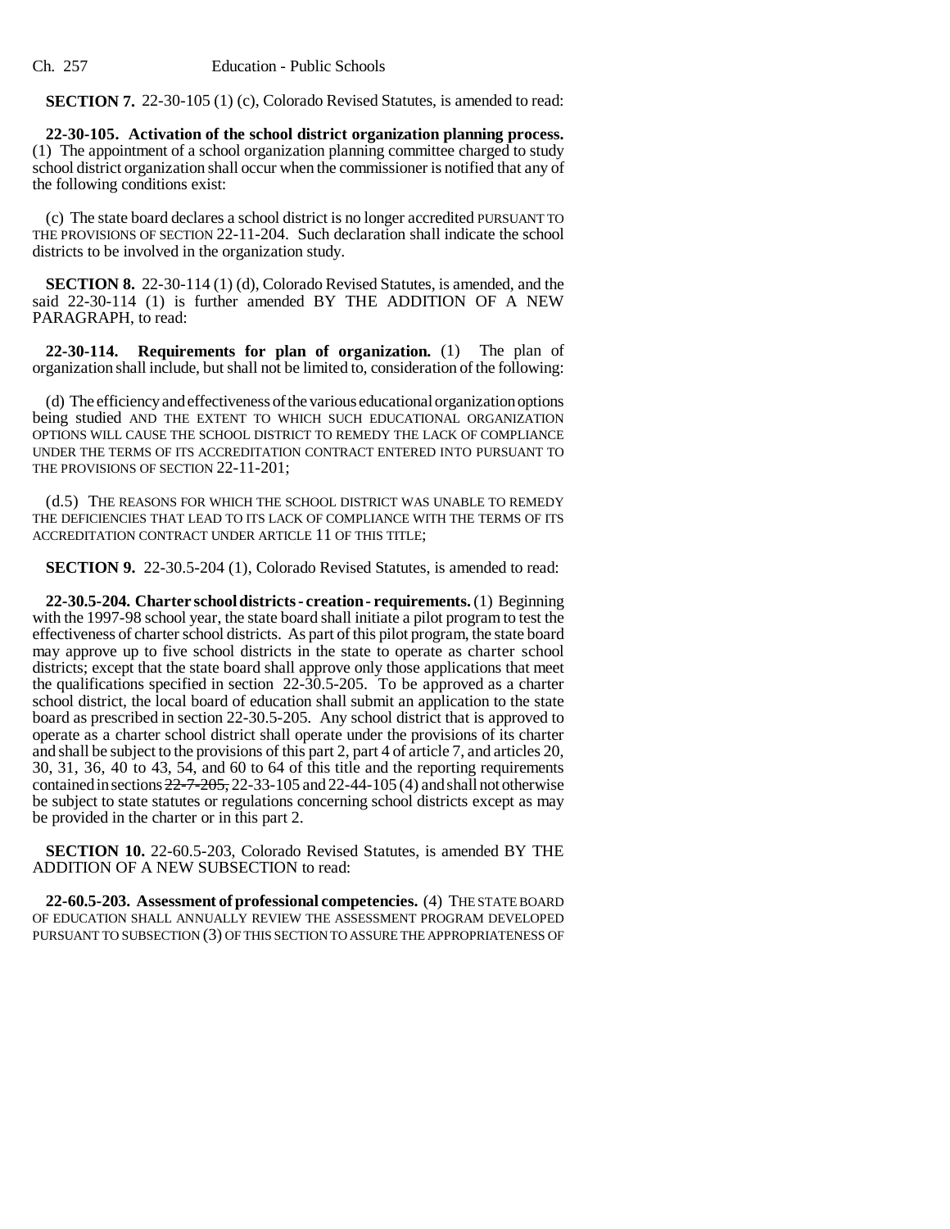**SECTION 7.** 22-30-105 (1) (c), Colorado Revised Statutes, is amended to read:

**22-30-105. Activation of the school district organization planning process.** (1) The appointment of a school organization planning committee charged to study school district organization shall occur when the commissioner is notified that any of the following conditions exist:

(c) The state board declares a school district is no longer accredited PURSUANT TO THE PROVISIONS OF SECTION 22-11-204. Such declaration shall indicate the school districts to be involved in the organization study.

**SECTION 8.** 22-30-114 (1) (d), Colorado Revised Statutes, is amended, and the said 22-30-114 (1) is further amended BY THE ADDITION OF A NEW PARAGRAPH, to read:

**22-30-114. Requirements for plan of organization.** (1) The plan of organization shall include, but shall not be limited to, consideration of the following:

(d) The efficiency and effectiveness of the various educational organization options being studied AND THE EXTENT TO WHICH SUCH EDUCATIONAL ORGANIZATION OPTIONS WILL CAUSE THE SCHOOL DISTRICT TO REMEDY THE LACK OF COMPLIANCE UNDER THE TERMS OF ITS ACCREDITATION CONTRACT ENTERED INTO PURSUANT TO THE PROVISIONS OF SECTION 22-11-201;

(d.5) THE REASONS FOR WHICH THE SCHOOL DISTRICT WAS UNABLE TO REMEDY THE DEFICIENCIES THAT LEAD TO ITS LACK OF COMPLIANCE WITH THE TERMS OF ITS ACCREDITATION CONTRACT UNDER ARTICLE 11 OF THIS TITLE;

**SECTION 9.** 22-30.5-204 (1), Colorado Revised Statutes, is amended to read:

**22-30.5-204. Charter school districts - creation - requirements.** (1) Beginning with the 1997-98 school year, the state board shall initiate a pilot program to test the effectiveness of charter school districts. As part of this pilot program, the state board may approve up to five school districts in the state to operate as charter school districts; except that the state board shall approve only those applications that meet the qualifications specified in section 22-30.5-205. To be approved as a charter school district, the local board of education shall submit an application to the state board as prescribed in section 22-30.5-205. Any school district that is approved to operate as a charter school district shall operate under the provisions of its charter and shall be subject to the provisions of this part 2, part 4 of article 7, and articles 20, 30, 31, 36, 40 to 43, 54, and 60 to 64 of this title and the reporting requirements contained in sections  $22-7-205$ , 22-33-105 and 22-44-105 (4) and shall not otherwise be subject to state statutes or regulations concerning school districts except as may be provided in the charter or in this part 2.

**SECTION 10.** 22-60.5-203, Colorado Revised Statutes, is amended BY THE ADDITION OF A NEW SUBSECTION to read:

**22-60.5-203. Assessment of professional competencies.** (4) THE STATE BOARD OF EDUCATION SHALL ANNUALLY REVIEW THE ASSESSMENT PROGRAM DEVELOPED PURSUANT TO SUBSECTION (3) OF THIS SECTION TO ASSURE THE APPROPRIATENESS OF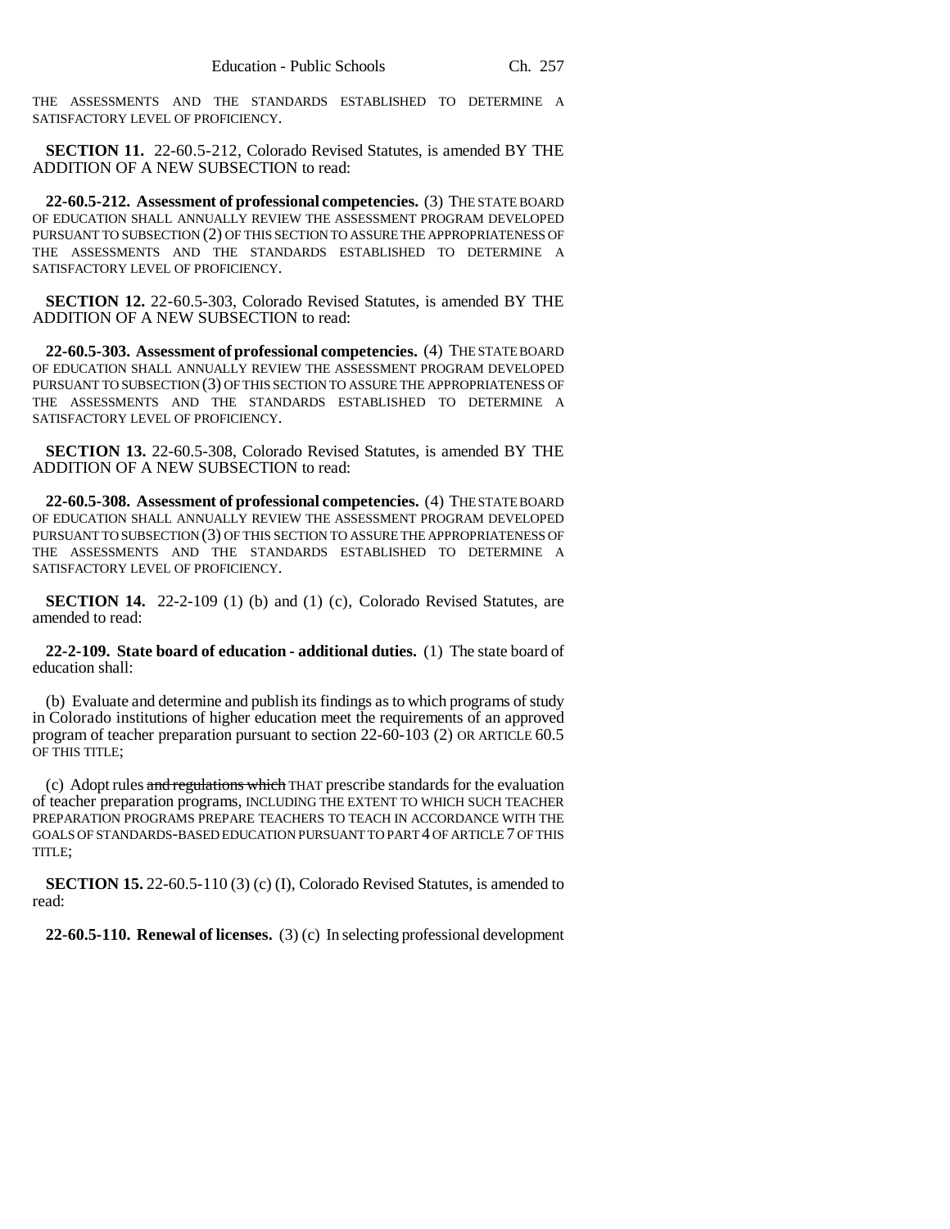THE ASSESSMENTS AND THE STANDARDS ESTABLISHED TO DETERMINE A SATISFACTORY LEVEL OF PROFICIENCY.

**SECTION 11.** 22-60.5-212, Colorado Revised Statutes, is amended BY THE ADDITION OF A NEW SUBSECTION to read:

**22-60.5-212. Assessment of professional competencies.** (3) THE STATE BOARD OF EDUCATION SHALL ANNUALLY REVIEW THE ASSESSMENT PROGRAM DEVELOPED PURSUANT TO SUBSECTION (2) OF THIS SECTION TO ASSURE THE APPROPRIATENESS OF THE ASSESSMENTS AND THE STANDARDS ESTABLISHED TO DETERMINE A SATISFACTORY LEVEL OF PROFICIENCY.

**SECTION 12.** 22-60.5-303, Colorado Revised Statutes, is amended BY THE ADDITION OF A NEW SUBSECTION to read:

**22-60.5-303. Assessment of professional competencies.** (4) THE STATE BOARD OF EDUCATION SHALL ANNUALLY REVIEW THE ASSESSMENT PROGRAM DEVELOPED PURSUANT TO SUBSECTION (3) OF THIS SECTION TO ASSURE THE APPROPRIATENESS OF THE ASSESSMENTS AND THE STANDARDS ESTABLISHED TO DETERMINE A SATISFACTORY LEVEL OF PROFICIENCY.

**SECTION 13.** 22-60.5-308, Colorado Revised Statutes, is amended BY THE ADDITION OF A NEW SUBSECTION to read:

**22-60.5-308. Assessment of professional competencies.** (4) THE STATE BOARD OF EDUCATION SHALL ANNUALLY REVIEW THE ASSESSMENT PROGRAM DEVELOPED PURSUANT TO SUBSECTION (3) OF THIS SECTION TO ASSURE THE APPROPRIATENESS OF THE ASSESSMENTS AND THE STANDARDS ESTABLISHED TO DETERMINE A SATISFACTORY LEVEL OF PROFICIENCY.

**SECTION 14.** 22-2-109 (1) (b) and (1) (c), Colorado Revised Statutes, are amended to read:

**22-2-109. State board of education - additional duties.** (1) The state board of education shall:

(b) Evaluate and determine and publish its findings as to which programs of study in Colorado institutions of higher education meet the requirements of an approved program of teacher preparation pursuant to section 22-60-103 (2) OR ARTICLE 60.5 OF THIS TITLE;

(c) Adopt rules and regulations which THAT prescribe standards for the evaluation of teacher preparation programs, INCLUDING THE EXTENT TO WHICH SUCH TEACHER PREPARATION PROGRAMS PREPARE TEACHERS TO TEACH IN ACCORDANCE WITH THE GOALS OF STANDARDS-BASED EDUCATION PURSUANT TO PART 4 OF ARTICLE 7 OF THIS TITLE;

**SECTION 15.** 22-60.5-110 (3) (c) (I), Colorado Revised Statutes, is amended to read:

**22-60.5-110. Renewal of licenses.** (3) (c) In selecting professional development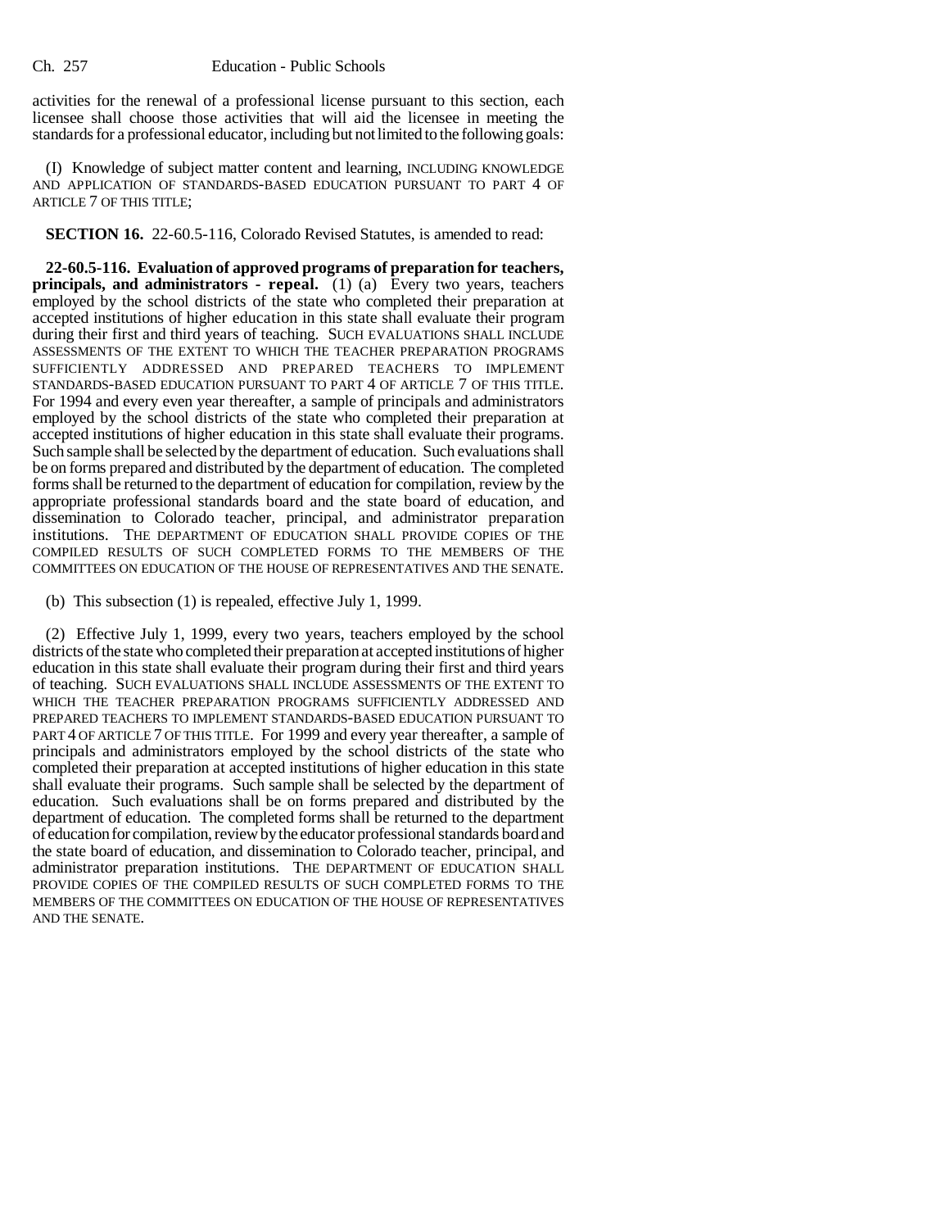activities for the renewal of a professional license pursuant to this section, each licensee shall choose those activities that will aid the licensee in meeting the standards for a professional educator, including but not limited to the following goals:

(I) Knowledge of subject matter content and learning, INCLUDING KNOWLEDGE AND APPLICATION OF STANDARDS-BASED EDUCATION PURSUANT TO PART 4 OF ARTICLE 7 OF THIS TITLE;

**SECTION 16.** 22-60.5-116, Colorado Revised Statutes, is amended to read:

**22-60.5-116. Evaluation of approved programs of preparation for teachers, principals, and administrators - repeal.** (1) (a) Every two years, teachers employed by the school districts of the state who completed their preparation at accepted institutions of higher education in this state shall evaluate their program during their first and third years of teaching. SUCH EVALUATIONS SHALL INCLUDE ASSESSMENTS OF THE EXTENT TO WHICH THE TEACHER PREPARATION PROGRAMS SUFFICIENTLY ADDRESSED AND PREPARED TEACHERS TO IMPLEMENT STANDARDS-BASED EDUCATION PURSUANT TO PART 4 OF ARTICLE 7 OF THIS TITLE. For 1994 and every even year thereafter, a sample of principals and administrators employed by the school districts of the state who completed their preparation at accepted institutions of higher education in this state shall evaluate their programs. Such sample shall be selected by the department of education. Such evaluations shall be on forms prepared and distributed by the department of education. The completed forms shall be returned to the department of education for compilation, review by the appropriate professional standards board and the state board of education, and dissemination to Colorado teacher, principal, and administrator preparation institutions. THE DEPARTMENT OF EDUCATION SHALL PROVIDE COPIES OF THE COMPILED RESULTS OF SUCH COMPLETED FORMS TO THE MEMBERS OF THE COMMITTEES ON EDUCATION OF THE HOUSE OF REPRESENTATIVES AND THE SENATE.

(b) This subsection (1) is repealed, effective July 1, 1999.

(2) Effective July 1, 1999, every two years, teachers employed by the school districts of the state who completed their preparation at accepted institutions of higher education in this state shall evaluate their program during their first and third years of teaching. SUCH EVALUATIONS SHALL INCLUDE ASSESSMENTS OF THE EXTENT TO WHICH THE TEACHER PREPARATION PROGRAMS SUFFICIENTLY ADDRESSED AND PREPARED TEACHERS TO IMPLEMENT STANDARDS-BASED EDUCATION PURSUANT TO PART 4 OF ARTICLE 7 OF THIS TITLE. For 1999 and every year thereafter, a sample of principals and administrators employed by the school districts of the state who completed their preparation at accepted institutions of higher education in this state shall evaluate their programs. Such sample shall be selected by the department of education. Such evaluations shall be on forms prepared and distributed by the department of education. The completed forms shall be returned to the department of education for compilation, review by the educator professional standards board and the state board of education, and dissemination to Colorado teacher, principal, and administrator preparation institutions. THE DEPARTMENT OF EDUCATION SHALL PROVIDE COPIES OF THE COMPILED RESULTS OF SUCH COMPLETED FORMS TO THE MEMBERS OF THE COMMITTEES ON EDUCATION OF THE HOUSE OF REPRESENTATIVES AND THE SENATE.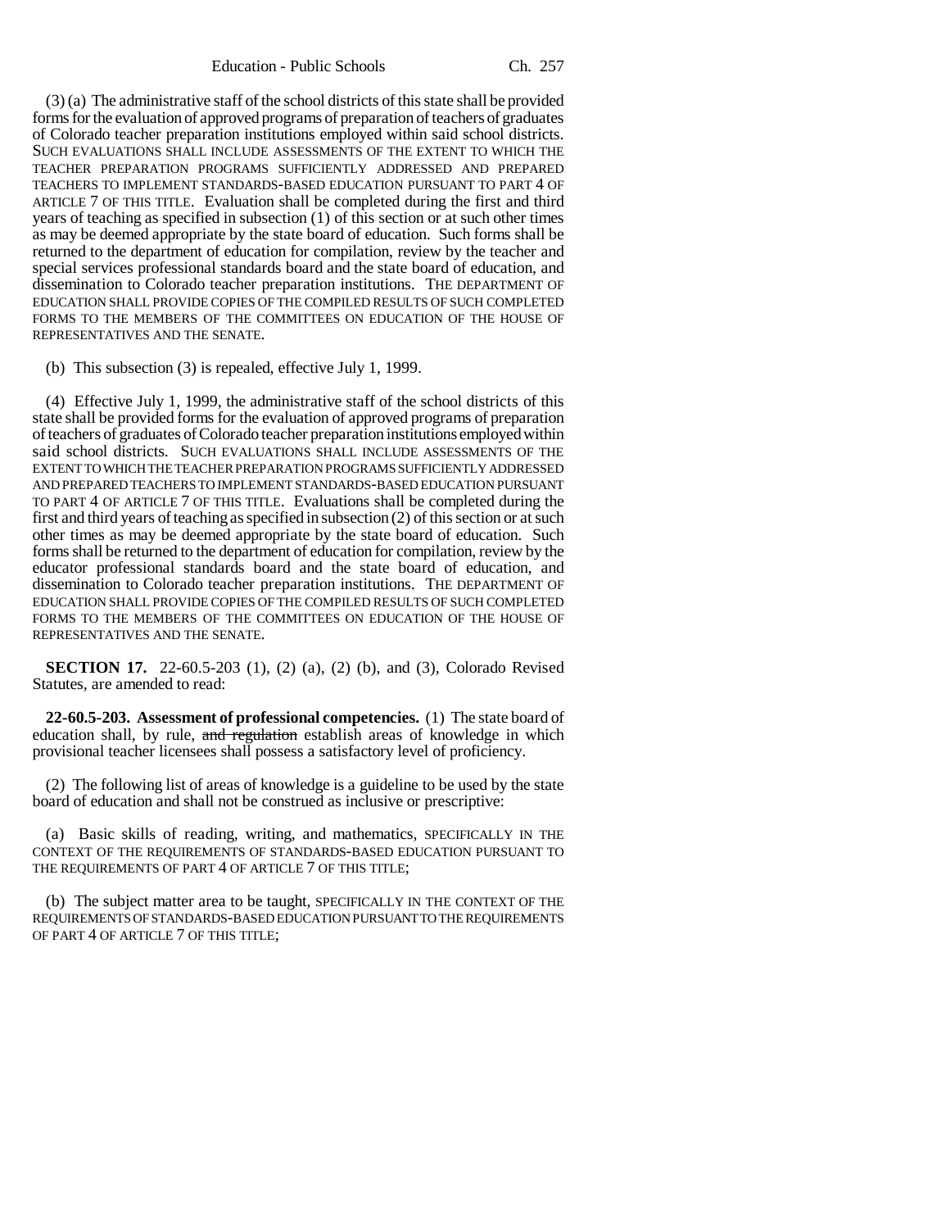(3) (a) The administrative staff of the school districts of this state shall be provided forms for the evaluation of approved programs of preparation of teachers of graduates of Colorado teacher preparation institutions employed within said school districts. SUCH EVALUATIONS SHALL INCLUDE ASSESSMENTS OF THE EXTENT TO WHICH THE TEACHER PREPARATION PROGRAMS SUFFICIENTLY ADDRESSED AND PREPARED TEACHERS TO IMPLEMENT STANDARDS-BASED EDUCATION PURSUANT TO PART 4 OF ARTICLE 7 OF THIS TITLE. Evaluation shall be completed during the first and third years of teaching as specified in subsection (1) of this section or at such other times as may be deemed appropriate by the state board of education. Such forms shall be returned to the department of education for compilation, review by the teacher and special services professional standards board and the state board of education, and dissemination to Colorado teacher preparation institutions. THE DEPARTMENT OF EDUCATION SHALL PROVIDE COPIES OF THE COMPILED RESULTS OF SUCH COMPLETED FORMS TO THE MEMBERS OF THE COMMITTEES ON EDUCATION OF THE HOUSE OF REPRESENTATIVES AND THE SENATE.

(b) This subsection (3) is repealed, effective July 1, 1999.

(4) Effective July 1, 1999, the administrative staff of the school districts of this state shall be provided forms for the evaluation of approved programs of preparation of teachers of graduates of Colorado teacher preparation institutions employed within said school districts. SUCH EVALUATIONS SHALL INCLUDE ASSESSMENTS OF THE EXTENT TO WHICH THE TEACHER PREPARATION PROGRAMS SUFFICIENTLY ADDRESSED AND PREPARED TEACHERS TO IMPLEMENT STANDARDS-BASED EDUCATION PURSUANT TO PART 4 OF ARTICLE 7 OF THIS TITLE. Evaluations shall be completed during the first and third years of teaching as specified in subsection (2) of this section or at such other times as may be deemed appropriate by the state board of education. Such forms shall be returned to the department of education for compilation, review by the educator professional standards board and the state board of education, and dissemination to Colorado teacher preparation institutions. THE DEPARTMENT OF EDUCATION SHALL PROVIDE COPIES OF THE COMPILED RESULTS OF SUCH COMPLETED FORMS TO THE MEMBERS OF THE COMMITTEES ON EDUCATION OF THE HOUSE OF REPRESENTATIVES AND THE SENATE.

**SECTION 17.** 22-60.5-203 (1), (2) (a), (2) (b), and (3), Colorado Revised Statutes, are amended to read:

**22-60.5-203. Assessment of professional competencies.** (1) The state board of education shall, by rule, and regulation establish areas of knowledge in which provisional teacher licensees shall possess a satisfactory level of proficiency.

(2) The following list of areas of knowledge is a guideline to be used by the state board of education and shall not be construed as inclusive or prescriptive:

(a) Basic skills of reading, writing, and mathematics, SPECIFICALLY IN THE CONTEXT OF THE REQUIREMENTS OF STANDARDS-BASED EDUCATION PURSUANT TO THE REQUIREMENTS OF PART 4 OF ARTICLE 7 OF THIS TITLE;

(b) The subject matter area to be taught, SPECIFICALLY IN THE CONTEXT OF THE REQUIREMENTS OF STANDARDS-BASED EDUCATION PURSUANT TO THE REQUIREMENTS OF PART 4 OF ARTICLE 7 OF THIS TITLE;